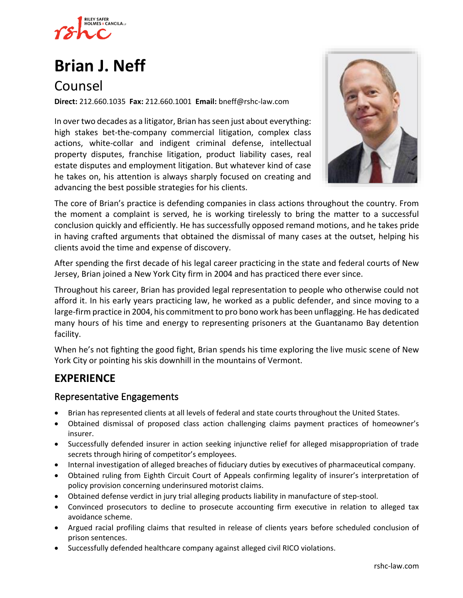

# **[Brian J. Neff](https://www.rshc-law.com/attorneys/attorney/brian-j.-neff)**

Counsel

**Direct:** 212.660.1035 **Fax:** 212.660.1001 **Email:** bneff@rshc-law.com

In over two decades as a litigator, Brian has seen just about everything: high stakes bet-the-company commercial litigation, complex class actions, white-collar and indigent criminal defense, intellectual property disputes, franchise litigation, product liability cases, real estate disputes and employment litigation. But whatever kind of case he takes on, his attention is always sharply focused on creating and advancing the best possible strategies for his clients.



The core of Brian's practice is defending companies in class actions throughout the country. From the moment a complaint is served, he is working tirelessly to bring the matter to a successful conclusion quickly and efficiently. He has successfully opposed remand motions, and he takes pride in having crafted arguments that obtained the dismissal of many cases at the outset, helping his clients avoid the time and expense of discovery.

After spending the first decade of his legal career practicing in the state and federal courts of New Jersey, Brian joined a New York City firm in 2004 and has practiced there ever since.

Throughout his career, Brian has provided legal representation to people who otherwise could not afford it. In his early years practicing law, he worked as a public defender, and since moving to a large-firm practice in 2004, his commitment to pro bono work has been unflagging. He has dedicated many hours of his time and energy to representing prisoners at the Guantanamo Bay detention facility.

When he's not fighting the good fight, Brian spends his time exploring the live music scene of New York City or pointing his skis downhill in the mountains of Vermont.

## **EXPERIENCE**

#### Representative Engagements

- Brian has represented clients at all levels of federal and state courts throughout the United States.
- Obtained dismissal of proposed class action challenging claims payment practices of homeowner's insurer.
- Successfully defended insurer in action seeking injunctive relief for alleged misappropriation of trade secrets through hiring of competitor's employees.
- Internal investigation of alleged breaches of fiduciary duties by executives of pharmaceutical company.
- Obtained ruling from Eighth Circuit Court of Appeals confirming legality of insurer's interpretation of policy provision concerning underinsured motorist claims.
- Obtained defense verdict in jury trial alleging products liability in manufacture of step-stool.
- Convinced prosecutors to decline to prosecute accounting firm executive in relation to alleged tax avoidance scheme.
- Argued racial profiling claims that resulted in release of clients years before scheduled conclusion of prison sentences.
- Successfully defended healthcare company against alleged civil RICO violations.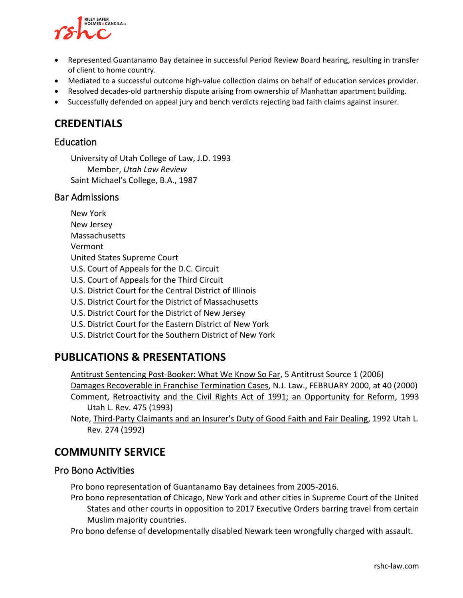

- Represented Guantanamo Bay detainee in successful Period Review Board hearing, resulting in transfer of client to home country.
- Mediated to a successful outcome high-value collection claims on behalf of education services provider.
- Resolved decades-old partnership dispute arising from ownership of Manhattan apartment building.
- Successfully defended on appeal jury and bench verdicts rejecting bad faith claims against insurer.

### **CREDENTIALS**

#### Education

University of Utah College of Law, J.D. 1993 Member, *Utah Law Review* Saint Michael's College, B.A., 1987

#### Bar Admissions

- New York New Jersey Massachusetts Vermont United States Supreme Court U.S. Court of Appeals for the D.C. Circuit U.S. Court of Appeals for the Third Circuit U.S. District Court for the Central District of Illinois U.S. District Court for the District of Massachusetts U.S. District Court for the District of New Jersey U.S. District Court for the Eastern District of New York
- U.S. District Court for the Southern District of New York

## **PUBLICATIONS & PRESENTATIONS**

Antitrust Sentencing Post-Booker: What We Know So Far, 5 Antitrust Source 1 (2006)

Damages Recoverable in Franchise Termination Cases, N.J. Law., FEBRUARY 2000, at 40 (2000)

- Comment, Retroactivity and the Civil Rights Act of 1991; an Opportunity for Reform, 1993 Utah L. Rev. 475 (1993)
- Note, Third-Party Claimants and an Insurer's Duty of Good Faith and Fair Dealing, 1992 Utah L. Rev. 274 (1992)

## **COMMUNITY SERVICE**

#### Pro Bono Activities

- Pro bono representation of Guantanamo Bay detainees from 2005-2016.
- Pro bono representation of Chicago, New York and other cities in Supreme Court of the United States and other courts in opposition to 2017 Executive Orders barring travel from certain Muslim majority countries.
- Pro bono defense of developmentally disabled Newark teen wrongfully charged with assault.